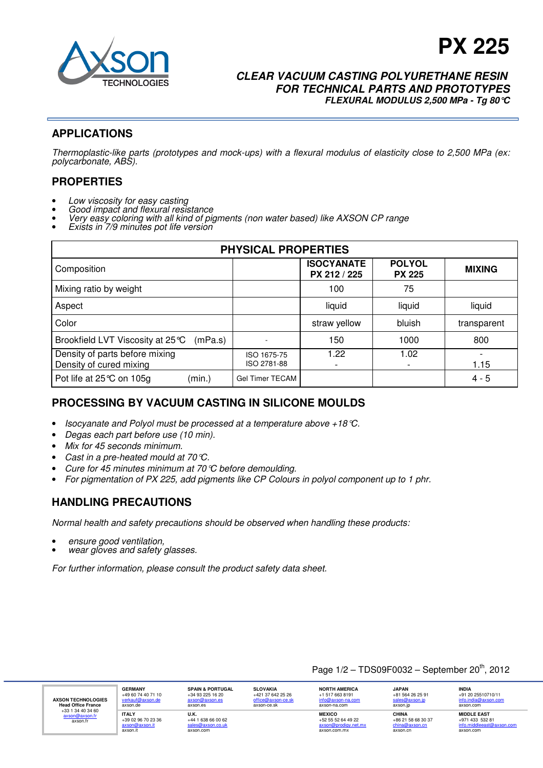

# **PX 225**

### **CLEAR VACUUM CASTING POLYURETHANE RESIN FOR TECHNICAL PARTS AND PROTOTYPES FLEXURAL MODULUS 2,500 MPa - Tg 80°C**

# **APPLICATIONS**

Thermoplastic-like parts (prototypes and mock-ups) with a flexural modulus of elasticity close to 2,500 MPa (ex: polycarbonate, ABS).

### **PROPERTIES**

- Low viscosity for easy casting
- Good impact and flexural resistance
- Very easy coloring with all kind of pigments (non water based) like AXSON CP range
- Exists in 7/9 minutes pot life version

| <b>PHYSICAL PROPERTIES</b>                                |                            |                                   |                                |               |  |
|-----------------------------------------------------------|----------------------------|-----------------------------------|--------------------------------|---------------|--|
| Composition                                               |                            | <b>ISOCYANATE</b><br>PX 212 / 225 | <b>POLYOL</b><br><b>PX 225</b> | <b>MIXING</b> |  |
| Mixing ratio by weight                                    |                            | 100                               | 75                             |               |  |
| Aspect                                                    |                            | liquid                            | liquid                         | liquid        |  |
| Color                                                     |                            | straw yellow                      | bluish                         | transparent   |  |
| Brookfield LVT Viscosity at 25 ℃<br>(mPa.s)               |                            | 150                               | 1000                           | 800           |  |
| Density of parts before mixing<br>Density of cured mixing | ISO 1675-75<br>ISO 2781-88 | 1.22                              | 1.02                           | 1.15          |  |
| (min.)<br>Pot life at 25℃ on 105g                         | <b>Gel Timer TECAM</b>     |                                   |                                | $4 - 5$       |  |

# **PROCESSING BY VACUUM CASTING IN SILICONE MOULDS**

- Isocyanate and Polyol must be processed at a temperature above +18°C.
- Degas each part before use (10 min).
- Mix for 45 seconds minimum.
- Cast in a pre-heated mould at 70 °C.
- Cure for 45 minutes minimum at 70 °C before demoulding.
- For pigmentation of PX 225, add pigments like CP Colours in polyol component up to 1 phr.

# **HANDLING PRECAUTIONS**

Normal health and safety precautions should be observed when handling these products:

- ensure good ventilation,
- wear gloves and safety glasses.

For further information, please consult the product safety data sheet.

#### Page  $1/2$  – TDS09F0032 – September  $20^{th}$ , 2012

| <b>AXSON TECHNOLOGIES</b><br><b>Head Office France</b><br>+33 1 34 40 34 60<br>axson@axson.fr<br>axson.fr | <b>GERMANY</b><br>+49 60 74 40 71 10<br>verkauf@axson.de<br>axson.de | <b>SPAIN &amp; PORTUGAL</b><br>$+3493251620$<br>axson@axson.es<br>axson.es | <b>SLOVAKIA</b><br>+421 37 642 25 26<br>office@axson-ce.sk<br>axson-ce.sk | <b>NORTH AMERICA</b><br>+1 517 663 8191<br>$info@axson-na.com$<br>axson-na.com | <b>JAPAN</b><br>+81 564 26 25 91<br>sales@axson.ip<br>axson.ip | <b>INDIA</b><br>+91 20 25510710/11<br>info.india@axson.com<br>axson.com         |
|-----------------------------------------------------------------------------------------------------------|----------------------------------------------------------------------|----------------------------------------------------------------------------|---------------------------------------------------------------------------|--------------------------------------------------------------------------------|----------------------------------------------------------------|---------------------------------------------------------------------------------|
|                                                                                                           | <b>ITALY</b><br>$+39.02.96.70.23.36$<br>axson@axson.it<br>axson.it   | U.K.<br>$+44$ 1 638 66 00 62<br>sales@axson.co.uk<br>axson.com             |                                                                           | <b>MEXICO</b><br>$+52$ 55 52 64 49 22<br>axson@prodigy.net.mx<br>axson.com.mx  | CHINA<br>+86 21 58 68 30 37<br>china@axson.cn<br>axson.cn      | <b>MIDDLE EAST</b><br>+971 433 532 81<br>info.middleeast@axson.com<br>axson.com |